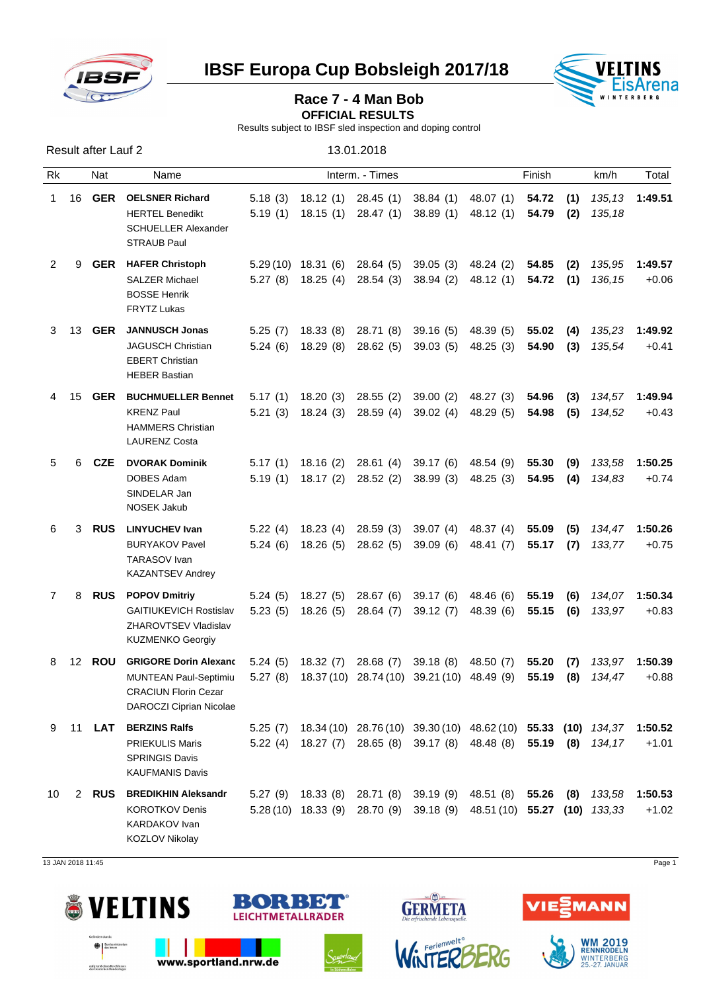

**IBSF Europa Cup Bobsleigh 2017/18 WELTINS** 



## Race 7 - 4 Man Bob

**OFFICIAL RESULTS** 

Results subject to IBSF sled inspection and doping control

| Result after Lauf 2 |             |            |                                                                                                                                                                                                                                                                | 13.01.2018         |  |                                                     |                                                                                                                                                     |                                  |                |            |                  |                    |
|---------------------|-------------|------------|----------------------------------------------------------------------------------------------------------------------------------------------------------------------------------------------------------------------------------------------------------------|--------------------|--|-----------------------------------------------------|-----------------------------------------------------------------------------------------------------------------------------------------------------|----------------------------------|----------------|------------|------------------|--------------------|
| Rk                  |             | Nat        | Name                                                                                                                                                                                                                                                           |                    |  | Finish                                              | km/h                                                                                                                                                | Total                            |                |            |                  |                    |
| $1 \quad$           | 16          | GER        | <b>OELSNER Richard</b><br><b>HERTEL Benedikt</b><br><b>SCHUELLER Alexander</b><br><b>STRAUB Paul</b>                                                                                                                                                           | 5.18(3)            |  | 18.12 (1) 28.45 (1)                                 | 38.84 (1)<br>5.19 (1) 18.15 (1) 28.47 (1) 38.89 (1)                                                                                                 | 48.07 (1)<br>48.12 (1)           | 54.72<br>54.79 | (1)<br>(2) | 135,13<br>135,18 | 1:49.51            |
| 2                   | 9           | GER        | <b>HAFER Christoph</b><br><b>SALZER Michael</b><br><b>BOSSE Henrik</b><br>FRYTZ Lukas                                                                                                                                                                          |                    |  | $5.29(10)$ 18.31 (6) 28.64 (5)                      | 5.27 (8) 18.25 (4) 28.54 (3) 38.94 (2)                                                                                                              | 39.05 (3) 48.24 (2)<br>48.12 (1) | 54.85<br>54.72 | (2)<br>(1) | 135,95<br>136,15 | 1:49.57<br>$+0.06$ |
| 3                   | 13          | GER        | <b>JANNUSCH Jonas</b><br><b>JAGUSCH Christian</b><br><b>EBERT Christian</b><br><b>HEBER Bastian</b>                                                                                                                                                            |                    |  |                                                     | 5.25 (7) 18.33 (8) 28.71 (8) 39.16 (5) 48.39 (5)<br>5.24 (6) 18.29 (8) 28.62 (5) 39.03 (5)                                                          | 48.25 (3)                        | 55.02<br>54.90 | (4)<br>(3) | 135,23<br>135,54 | 1:49.92<br>$+0.41$ |
| 4                   | 15          | <b>GER</b> | <b>BUCHMUELLER Bennet</b><br><b>KRENZ Paul</b><br><b>HAMMERS Christian</b><br>LAURENZ Costa                                                                                                                                                                    | 5.21(3)            |  | 5.17 (1) 18.20 (3) 28.55 (2)<br>18.24 (3) 28.59 (4) | 39.00 (2)<br>39.02(4)                                                                                                                               | 48.27 (3)<br>48.29 (5)           | 54.96<br>54.98 | (3)<br>(5) | 134,57<br>134,52 | 1:49.94<br>$+0.43$ |
| 5                   | 6           | CZE        | <b>DVORAK Dominik</b><br>DOBES Adam<br>SINDELAR Jan<br>NOSEK Jakub                                                                                                                                                                                             |                    |  |                                                     | 5.17 (1) 18.16 (2) 28.61 (4) 39.17 (6) 48.54 (9)<br>5.19 (1) 18.17 (2) 28.52 (2) 38.99 (3)                                                          | 48.25 (3)                        | 55.30<br>54.95 | (9)<br>(4) | 133,58<br>134,83 | 1:50.25<br>$+0.74$ |
| 6                   | 3           | <b>RUS</b> | <b>LINYUCHEV Ivan</b><br><b>BURYAKOV Pavel</b><br><b>TARASOV</b> Ivan<br><b>KAZANTSEV Andrey</b>                                                                                                                                                               | 5.22(4)<br>5.24(6) |  |                                                     | 18.23 (4) 28.59 (3) 39.07 (4) 48.37 (4)<br>18.26 (5) 28.62 (5) 39.09 (6)                                                                            | 48.41 (7)                        | 55.09<br>55.17 | (5)<br>(7) | 134,47<br>133,77 | 1:50.26<br>$+0.75$ |
| $7\phantom{.}$      | 8           | RUS        | <b>POPOV Dmitriy</b><br><b>GAITIUKEVICH Rostislav</b><br>ZHAROVTSEV Vladislav<br><b>KUZMENKO Georgiy</b>                                                                                                                                                       | 5.24(5)            |  |                                                     | 18.27 (5) 28.67 (6) 39.17 (6) 48.46 (6)<br>5.23 (5) 18.26 (5) 28.64 (7) 39.12 (7)                                                                   | 48.39 (6)                        | 55.19<br>55.15 | (6)<br>(6) | 134,07<br>133,97 | 1:50.34<br>$+0.83$ |
| 8                   |             |            | 12 ROU GRIGORE Dorin Alexanc 5.24 (5) 18.32 (7) 28.68 (7) 39.18 (8) 48.50 (7) 55.20 (7) 133,97 1:50.39<br>MUNTEAN Paul-Septimiu 5.27 (8) 18.37 (10) 28.74 (10) 39.21 (10) 48.49 (9) 55.19 (8) 134,47<br><b>CRACIUN Florin Cezar</b><br>DAROCZI Ciprian Nicolae |                    |  |                                                     |                                                                                                                                                     |                                  |                |            |                  | $+0.88$            |
|                     | 9 11        | LAT        | <b>BERZINS Ralfs</b><br><b>PRIEKULIS Maris</b><br><b>SPRINGIS Davis</b><br>KAUFMANIS Davis                                                                                                                                                                     |                    |  |                                                     | 5.25 (7) 18.34 (10) 28.76 (10) 39.30 (10) 48.62 (10) 55.33 (10) 134,37 1:50.52<br>5.22 (4) 18.27 (7) 28.65 (8) 39.17 (8) 48.48 (8) 55.19 (8) 134,17 |                                  |                |            |                  | $+1.01$            |
| 10                  | $2^{\circ}$ | RUS        | <b>BREDIKHIN Aleksandr</b><br><b>KOROTKOV Denis</b><br>KARDAKOV Ivan<br>KOZLOV Nikolay                                                                                                                                                                         |                    |  |                                                     | 5.27 (9) 18.33 (8) 28.71 (8) 39.19 (9) 48.51 (8)<br>5.28 (10) 18.33 (9) 28.70 (9) 39.18 (9) 48.51 (10) 55.27 (10) 133,33                            |                                  | 55.26          | (8)        | 133,58           | 1:50.53<br>$+1.02$ |

13 JAN 2018 11:45 Page 1



aufgrund eines Beschlusse



www.sportland.nrw.de



Ferienwelt<sup>e</sup>